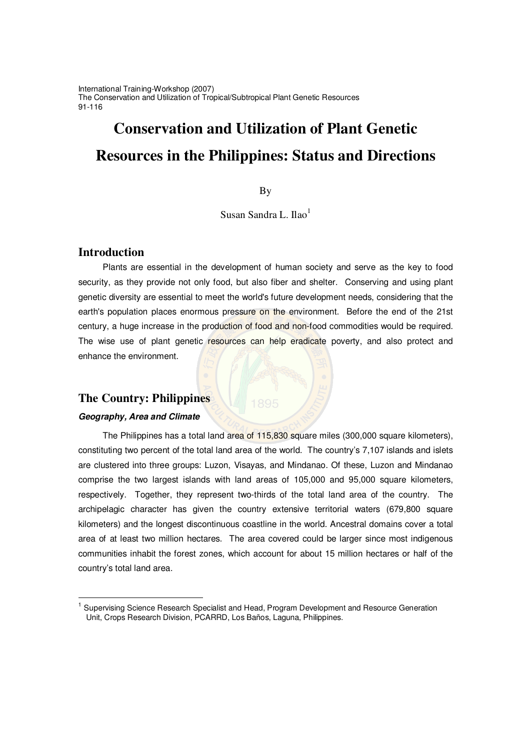International Training-Workshop (2007) The Conservation and Utilization of Tropical/Subtropical Plant Genetic Resources 91-116

# **Conservation and Utilization of Plant Genetic Resources in the Philippines: Status and Directions**

**B**<sub>V</sub>

Susan Sandra L. Ilao<sup>1</sup>

# **Introduction**

Plants are essential in the development of human society and serve as the key to food security, as they provide not only food, but also fiber and shelter. Conserving and using plant genetic diversity are essential to meet the world's future development needs, considering that the earth's population places enormous pressure on the environment. Before the end of the 21st century, a huge increase in the production of food and non-food commodities would be required. The wise use of plant genetic resources can help eradicate poverty, and also protect and enhance the environment.

# **The Country: Philippines**

### *Geography, Area and Climate*

The Philippines has a total land area of 115,830 square miles (300,000 square kilometers), constituting two percent of the total land area of the world. The country's 7,107 islands and islets are clustered into three groups: Luzon, Visayas, and Mindanao. Of these, Luzon and Mindanao comprise the two largest islands with land areas of 105,000 and 95,000 square kilometers, respectively. Together, they represent two-thirds of the total land area of the country. The archipelagic character has given the country extensive territorial waters (679,800 square kilometers) and the longest discontinuous coastline in the world. Ancestral domains cover a total area of at least two million hectares. The area covered could be larger since most indigenous communities inhabit the forest zones, which account for about 15 million hectares or half of the country's total land area.

<sup>1</sup> Supervising Science Research Specialist and Head, Program Development and Resource Generation Unit, Crops Research Division, PCARRD, Los Baños, Laguna, Philippines.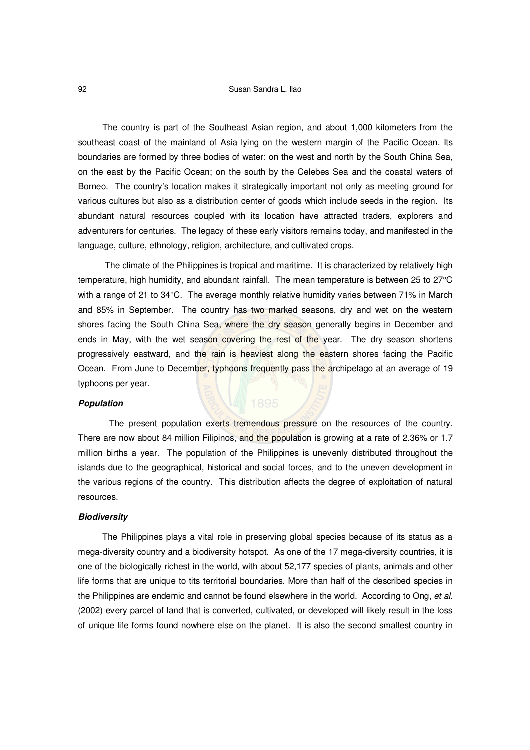#### 92 Susan Sandra L. Ilao

The country is part of the Southeast Asian region, and about 1,000 kilometers from the southeast coast of the mainland of Asia lying on the western margin of the Pacific Ocean. Its boundaries are formed by three bodies of water: on the west and north by the South China Sea, on the east by the Pacific Ocean; on the south by the Celebes Sea and the coastal waters of Borneo. The country's location makes it strategically important not only as meeting ground for various cultures but also as a distribution center of goods which include seeds in the region. Its abundant natural resources coupled with its location have attracted traders, explorers and adventurers for centuries. The legacy of these early visitors remains today, and manifested in the language, culture, ethnology, religion, architecture, and cultivated crops.

The climate of the Philippines is tropical and maritime. It is characterized by relatively high temperature, high humidity, and abundant rainfall. The mean temperature is between 25 to 27°C with a range of 21 to 34°C. The average monthly relative humidity varies between 71% in March and 85% in September. The country has two marked seasons, dry and wet on the western shores facing the South China Sea, where the dry season generally begins in December and ends in May, with the wet season covering the rest of the year. The dry season shortens progressively eastward, and the rain is heaviest along the eastern shores facing the Pacific Ocean. From June to December, typhoons frequently pass the archipelago at an average of 19 typhoons per year.

#### *Population*

The present population exerts tremendous pressure on the resources of the country. There are now about 84 million Filipinos, and the population is growing at a rate of 2.36% or 1.7 million births a year. The population of the Philippines is unevenly distributed throughout the islands due to the geographical, historical and social forces, and to the uneven development in the various regions of the country. This distribution affects the degree of exploitation of natural resources.

#### *Biodiversity*

The Philippines plays a vital role in preserving global species because of its status as a mega-diversity country and a biodiversity hotspot. As one of the 17 mega-diversity countries, it is one of the biologically richest in the world, with about 52,177 species of plants, animals and other life forms that are unique to tits territorial boundaries. More than half of the described species in the Philippines are endemic and cannot be found elsewhere in the world. According to Ong, *et al*. (2002) every parcel of land that is converted, cultivated, or developed will likely result in the loss of unique life forms found nowhere else on the planet. It is also the second smallest country in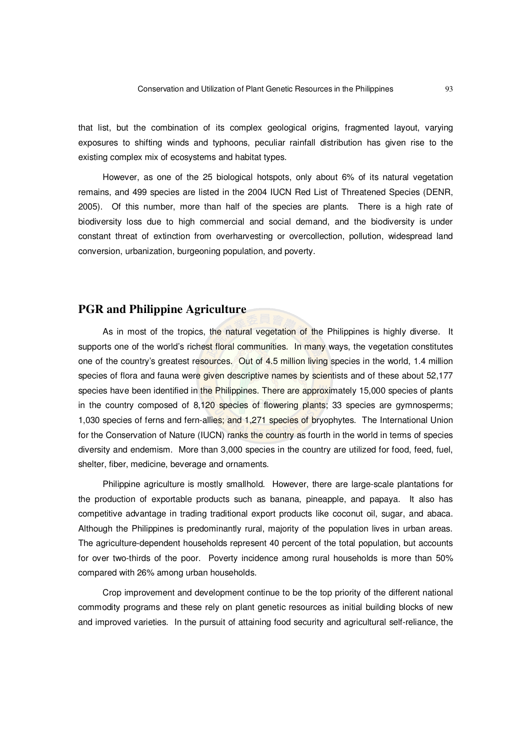that list, but the combination of its complex geological origins, fragmented layout, varying exposures to shifting winds and typhoons, peculiar rainfall distribution has given rise to the existing complex mix of ecosystems and habitat types.

However, as one of the 25 biological hotspots, only about 6% of its natural vegetation remains, and 499 species are listed in the 2004 IUCN Red List of Threatened Species (DENR, 2005). Of this number, more than half of the species are plants. There is a high rate of biodiversity loss due to high commercial and social demand, and the biodiversity is under constant threat of extinction from overharvesting or overcollection, pollution, widespread land conversion, urbanization, burgeoning population, and poverty.

# **PGR and Philippine Agriculture**

As in most of the tropics, the natural vegetation of the Philippines is highly diverse. It supports one of the world's richest floral communities. In many ways, the vegetation constitutes one of the country's greatest resources. Out of 4.5 million living species in the world, 1.4 million species of flora and fauna were given descriptive names by scientists and of these about 52,177 species have been identified in the Philippines. There are approximately 15,000 species of plants in the country composed of 8,120 species of flowering plants; 33 species are gymnosperms; 1,030 species of ferns and fern-allies; and 1,271 species of bryophytes. The International Union for the Conservation of Nature (IUCN) ranks the country as fourth in the world in terms of species diversity and endemism. More than 3,000 species in the country are utilized for food, feed, fuel, shelter, fiber, medicine, beverage and ornaments.

Philippine agriculture is mostly smallhold. However, there are large-scale plantations for the production of exportable products such as banana, pineapple, and papaya. It also has competitive advantage in trading traditional export products like coconut oil, sugar, and abaca. Although the Philippines is predominantly rural, majority of the population lives in urban areas. The agriculture-dependent households represent 40 percent of the total population, but accounts for over two-thirds of the poor. Poverty incidence among rural households is more than 50% compared with 26% among urban households.

Crop improvement and development continue to be the top priority of the different national commodity programs and these rely on plant genetic resources as initial building blocks of new and improved varieties. In the pursuit of attaining food security and agricultural self-reliance, the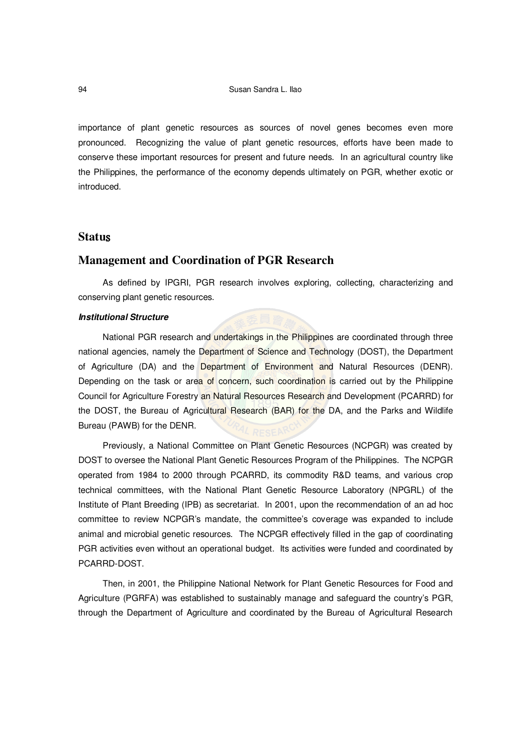importance of plant genetic resources as sources of novel genes becomes even more pronounced. Recognizing the value of plant genetic resources, efforts have been made to conserve these important resources for present and future needs. In an agricultural country like the Philippines, the performance of the economy depends ultimately on PGR, whether exotic or introduced.

## **Statu**

# **Management and Coordination of PGR Research**

As defined by IPGRI, PGR research involves exploring, collecting, characterizing and conserving plant genetic resources.

### *Institutional Structure*

National PGR research and undertakings in the Philippines are coordinated through three national agencies, namely the Department of Science and Technology (DOST), the Department of Agriculture (DA) and the Department of Environment and Natural Resources (DENR). Depending on the task or area of concern, such coordination is carried out by the Philippine Council for Agriculture Forestry an Natural Resources Research and Development (PCARRD) for the DOST, the Bureau of Agricultural Research (BAR) for the DA, and the Parks and Wildlife Bureau (PAWB) for the DENR.

Previously, a National Committee on Plant Genetic Resources (NCPGR) was created by DOST to oversee the National Plant Genetic Resources Program of the Philippines. The NCPGR operated from 1984 to 2000 through PCARRD, its commodity R&D teams, and various crop technical committees, with the National Plant Genetic Resource Laboratory (NPGRL) of the Institute of Plant Breeding (IPB) as secretariat. In 2001, upon the recommendation of an ad hoc committee to review NCPGR's mandate, the committee's coverage was expanded to include animal and microbial genetic resources. The NCPGR effectively filled in the gap of coordinating PGR activities even without an operational budget. Its activities were funded and coordinated by PCARRD-DOST.

Then, in 2001, the Philippine National Network for Plant Genetic Resources for Food and Agriculture (PGRFA) was established to sustainably manage and safeguard the country's PGR, through the Department of Agriculture and coordinated by the Bureau of Agricultural Research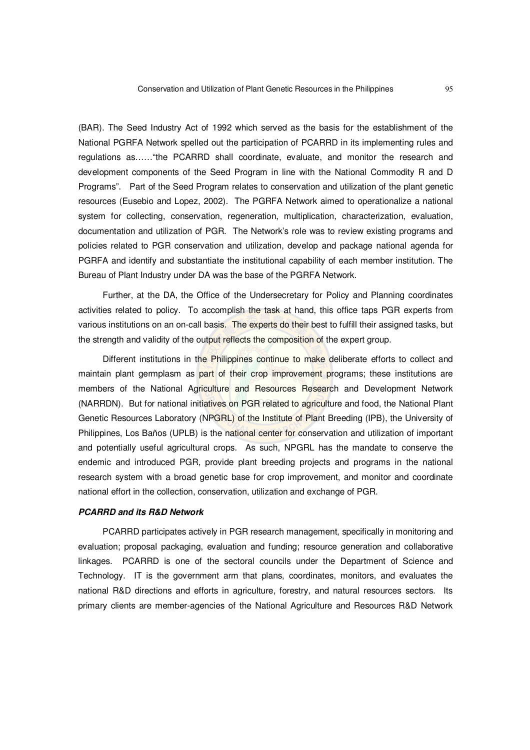(BAR). The Seed Industry Act of 1992 which served as the basis for the establishment of the National PGRFA Network spelled out the participation of PCARRD in its implementing rules and regulations as……"the PCARRD shall coordinate, evaluate, and monitor the research and development components of the Seed Program in line with the National Commodity R and D Programs". Part of the Seed Program relates to conservation and utilization of the plant genetic resources (Eusebio and Lopez, 2002). The PGRFA Network aimed to operationalize a national system for collecting, conservation, regeneration, multiplication, characterization, evaluation, documentation and utilization of PGR. The Network's role was to review existing programs and policies related to PGR conservation and utilization, develop and package national agenda for PGRFA and identify and substantiate the institutional capability of each member institution. The Bureau of Plant Industry under DA was the base of the PGRFA Network.

Further, at the DA, the Office of the Undersecretary for Policy and Planning coordinates activities related to policy. To accomplish the task at hand, this office taps PGR experts from various institutions on an on-call basis. The experts do their best to fulfill their assigned tasks, but the strength and validity of the output reflects the composition of the expert group.

Different institutions in the Philippines continue to make deliberate efforts to collect and maintain plant germplasm as part of their crop improvement programs; these institutions are members of the National Agriculture and Resources Research and Development Network (NARRDN). But for national initiatives on PGR related to agriculture and food, the National Plant Genetic Resources Laboratory (NPGRL) of the Institute of Plant Breeding (IPB), the University of Philippines, Los Baños (UPLB) is the national center for conservation and utilization of important and potentially useful agricultural crops. As such, NPGRL has the mandate to conserve the endemic and introduced PGR, provide plant breeding projects and programs in the national research system with a broad genetic base for crop improvement, and monitor and coordinate national effort in the collection, conservation, utilization and exchange of PGR.

#### *PCARRD and its R&D Network*

PCARRD participates actively in PGR research management, specifically in monitoring and evaluation; proposal packaging, evaluation and funding; resource generation and collaborative linkages. PCARRD is one of the sectoral councils under the Department of Science and Technology. IT is the government arm that plans, coordinates, monitors, and evaluates the national R&D directions and efforts in agriculture, forestry, and natural resources sectors. Its primary clients are member-agencies of the National Agriculture and Resources R&D Network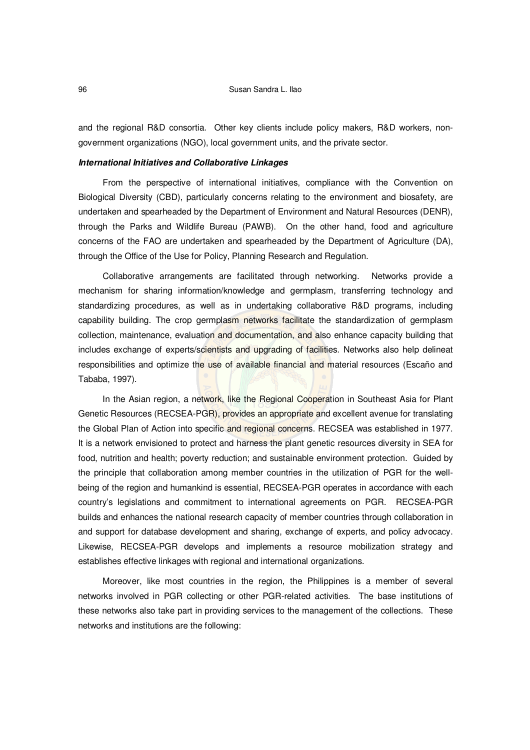and the regional R&D consortia. Other key clients include policy makers, R&D workers, nongovernment organizations (NGO), local government units, and the private sector.

### *International Initiatives and Collaborative Linkages*

From the perspective of international initiatives, compliance with the Convention on Biological Diversity (CBD), particularly concerns relating to the environment and biosafety, are undertaken and spearheaded by the Department of Environment and Natural Resources (DENR), through the Parks and Wildlife Bureau (PAWB). On the other hand, food and agriculture concerns of the FAO are undertaken and spearheaded by the Department of Agriculture (DA), through the Office of the Use for Policy, Planning Research and Regulation.

Collaborative arrangements are facilitated through networking. Networks provide a mechanism for sharing information/knowledge and germplasm, transferring technology and standardizing procedures, as well as in undertaking collaborative R&D programs, including capability building. The crop germplasm networks facilitate the standardization of germplasm collection, maintenance, evaluation and documentation, and also enhance capacity building that includes exchange of experts/scientists and upgrading of facilities. Networks also help delineat responsibilities and optimize the use of available financial and material resources (Escaño and Tababa, 1997).

In the Asian region, a network, like the Regional Cooperation in Southeast Asia for Plant Genetic Resources (RECSEA-PGR), provides an appropriate and excellent avenue for translating the Global Plan of Action into specific and regional concerns. RECSEA was established in 1977. It is a network envisioned to protect and harness the plant genetic resources diversity in SEA for food, nutrition and health; poverty reduction; and sustainable environment protection. Guided by the principle that collaboration among member countries in the utilization of PGR for the wellbeing of the region and humankind is essential, RECSEA-PGR operates in accordance with each country's legislations and commitment to international agreements on PGR. RECSEA-PGR builds and enhances the national research capacity of member countries through collaboration in and support for database development and sharing, exchange of experts, and policy advocacy. Likewise, RECSEA-PGR develops and implements a resource mobilization strategy and establishes effective linkages with regional and international organizations.

Moreover, like most countries in the region, the Philippines is a member of several networks involved in PGR collecting or other PGR-related activities. The base institutions of these networks also take part in providing services to the management of the collections. These networks and institutions are the following: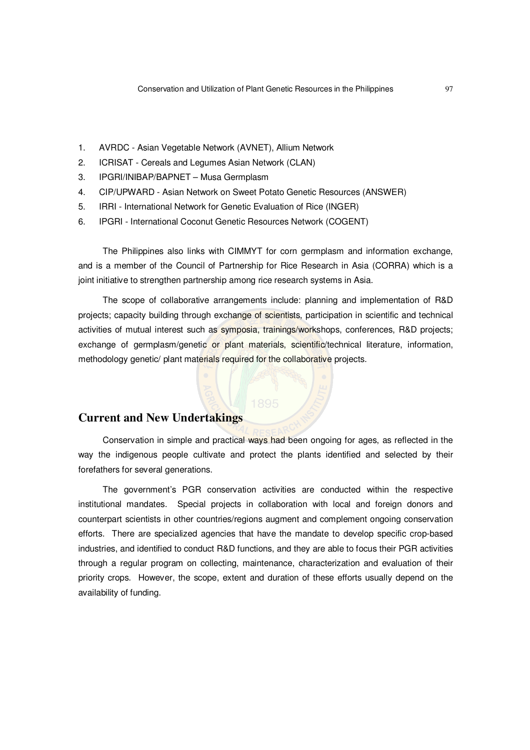- 1. AVRDC Asian Vegetable Network (AVNET), Allium Network
- 2. ICRISAT Cereals and Legumes Asian Network (CLAN)
- 3. IPGRI/INIBAP/BAPNET Musa Germplasm
- 4. CIP/UPWARD Asian Network on Sweet Potato Genetic Resources (ANSWER)
- 5. IRRI International Network for Genetic Evaluation of Rice (INGER)
- 6. IPGRI International Coconut Genetic Resources Network (COGENT)

The Philippines also links with CIMMYT for corn germplasm and information exchange, and is a member of the Council of Partnership for Rice Research in Asia (CORRA) which is a joint initiative to strengthen partnership among rice research systems in Asia.

The scope of collaborative arrangements include: planning and implementation of R&D projects; capacity building through exchange of scientists, participation in scientific and technical activities of mutual interest such as symposia, trainings/workshops, conferences, R&D projects; exchange of germplasm/genetic or plant materials, scientific/technical literature, information, methodology genetic/ plant materials required for the collaborative projects.

# **Current and New Undertakings**

Conservation in simple and practical ways had been ongoing for ages, as reflected in the way the indigenous people cultivate and protect the plants identified and selected by their forefathers for several generations.

The government's PGR conservation activities are conducted within the respective institutional mandates. Special projects in collaboration with local and foreign donors and counterpart scientists in other countries/regions augment and complement ongoing conservation efforts. There are specialized agencies that have the mandate to develop specific crop-based industries, and identified to conduct R&D functions, and they are able to focus their PGR activities through a regular program on collecting, maintenance, characterization and evaluation of their priority crops. However, the scope, extent and duration of these efforts usually depend on the availability of funding.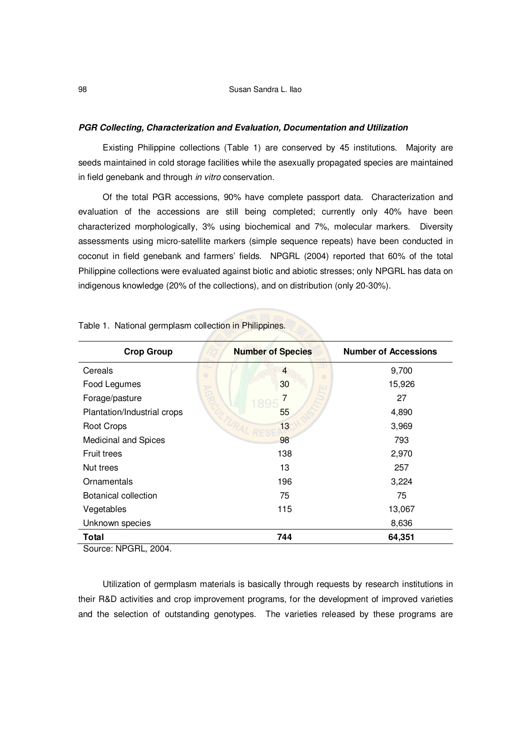#### *PGR Collecting, Characterization and Evaluation, Documentation and Utilization*

Existing Philippine collections (Table 1) are conserved by 45 institutions. Majority are seeds maintained in cold storage facilities while the asexually propagated species are maintained in field genebank and through *in vitro* conservation.

Of the total PGR accessions, 90% have complete passport data. Characterization and evaluation of the accessions are still being completed; currently only 40% have been characterized morphologically, 3% using biochemical and 7%, molecular markers. Diversity assessments using micro-satellite markers (simple sequence repeats) have been conducted in coconut in field genebank and farmers' fields. NPGRL (2004) reported that 60% of the total Philippine collections were evaluated against biotic and abiotic stresses; only NPGRL has data on indigenous knowledge (20% of the collections), and on distribution (only 20-30%).

| <b>Crop Group</b>           | <b>Number of Species</b> | <b>Number of Accessions</b> |
|-----------------------------|--------------------------|-----------------------------|
| v.<br>Cereals<br>$\bigcirc$ | $\overline{4}$           | 9,700                       |
| Food Legumes                | 30                       | 15,926                      |
| Forage/pasture              | 1895                     | 27                          |
| Plantation/Industrial crops | 55                       | 4,890                       |
| Root Crops                  | 13                       | 3,969                       |
| <b>Medicinal and Spices</b> | 98                       | 793                         |
| <b>Fruit trees</b>          | 138                      | 2,970                       |
| Nut trees                   | 13                       | 257                         |
| Ornamentals                 | 196                      | 3,224                       |
| Botanical collection        | 75                       | 75                          |
| Vegetables                  | 115                      | 13,067                      |
| Unknown species             |                          | 8,636                       |
| Total                       | 744                      | 64,351                      |

Table 1. National germplasm collection in Philippines.

Source: NPGRL, 2004.

Utilization of germplasm materials is basically through requests by research institutions in their R&D activities and crop improvement programs, for the development of improved varieties and the selection of outstanding genotypes. The varieties released by these programs are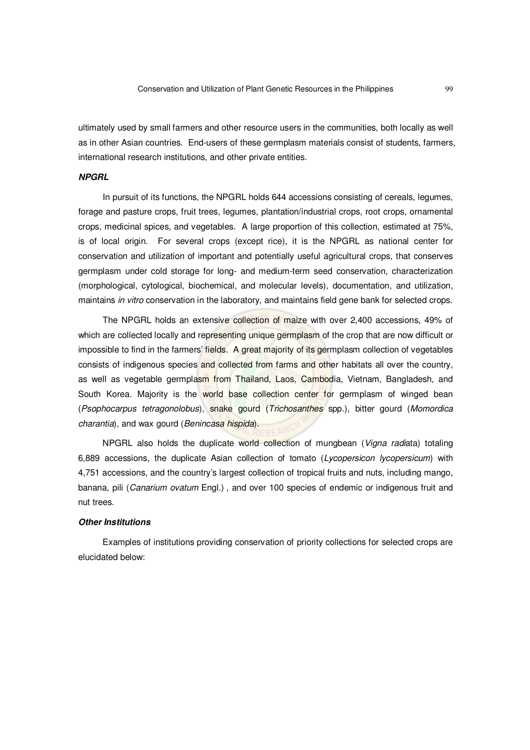ultimately used by small farmers and other resource users in the communities, both locally as well as in other Asian countries. End-users of these germplasm materials consist of students, farmers, international research institutions, and other private entities.

### *NPGRL*

In pursuit of its functions, the NPGRL holds 644 accessions consisting of cereals, legumes, forage and pasture crops, fruit trees, legumes, plantation/industrial crops, root crops, ornamental crops, medicinal spices, and vegetables. A large proportion of this collection, estimated at 75%, is of local origin. For several crops (except rice), it is the NPGRL as national center for conservation and utilization of important and potentially useful agricultural crops, that conserves germplasm under cold storage for long- and medium-term seed conservation, characterization (morphological, cytological, biochemical, and molecular levels), documentation, and utilization, maintains *in vitro* conservation in the laboratory, and maintains field gene bank for selected crops.

The NPGRL holds an extensive collection of maize with over 2,400 accessions, 49% of which are collected locally and representing unique germplasm of the crop that are now difficult or impossible to find in the farmers' fields. A great majority of its germplasm collection of vegetables consists of indigenous species and collected from farms and other habitats all over the country, as well as vegetable germplasm from Thailand, Laos, Cambodia, Vietnam, Bangladesh, and South Korea. Majority is the world base collection center for germplasm of winged bean (*Psophocarpus tetragonolobus*), snake gourd (*Trichosanthes* spp.), bitter gourd (*Momordica charantia*), and wax gourd (*Benincasa hispida*).

NPGRL also holds the duplicate world collection of mungbean (*Vigna radi*ata) totaling 6,889 accessions, the duplicate Asian collection of tomato (*Lycopersicon lycopersicum*) with 4,751 accessions, and the country's largest collection of tropical fruits and nuts, including mango, banana, pili (*Canarium ovatum* Engl.) , and over 100 species of endemic or indigenous fruit and nut trees.

#### *Other Institutions*

Examples of institutions providing conservation of priority collections for selected crops are elucidated below: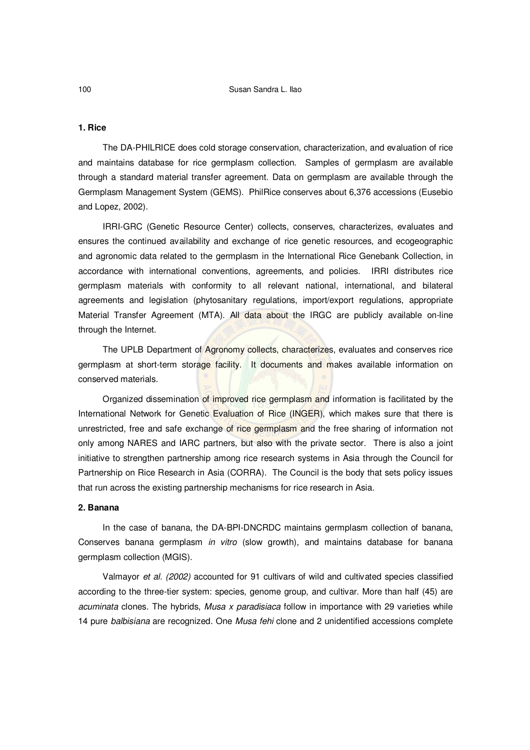#### **1. Rice**

The DA-PHILRICE does cold storage conservation, characterization, and evaluation of rice and maintains database for rice germplasm collection. Samples of germplasm are available through a standard material transfer agreement. Data on germplasm are available through the Germplasm Management System (GEMS). PhilRice conserves about 6,376 accessions (Eusebio and Lopez, 2002).

IRRI-GRC (Genetic Resource Center) collects, conserves, characterizes, evaluates and ensures the continued availability and exchange of rice genetic resources, and ecogeographic and agronomic data related to the germplasm in the International Rice Genebank Collection, in accordance with international conventions, agreements, and policies. IRRI distributes rice germplasm materials with conformity to all relevant national, international, and bilateral agreements and legislation (phytosanitary regulations, import/export regulations, appropriate Material Transfer Agreement (MTA). All data about the IRGC are publicly available on-line through the Internet.

The UPLB Department of Agronomy collects, characterizes, evaluates and conserves rice germplasm at short-term storage facility. It documents and makes available information on conserved materials.

Organized dissemination of improved rice germplasm and information is facilitated by the International Network for Genetic Evaluation of Rice (INGER), which makes sure that there is unrestricted, free and safe exchange of rice germplasm and the free sharing of information not only among NARES and IARC partners, but also with the private sector. There is also a joint initiative to strengthen partnership among rice research systems in Asia through the Council for Partnership on Rice Research in Asia (CORRA). The Council is the body that sets policy issues that run across the existing partnership mechanisms for rice research in Asia.

#### **2. Banana**

In the case of banana, the DA-BPI-DNCRDC maintains germplasm collection of banana, Conserves banana germplasm *in vitro* (slow growth), and maintains database for banana germplasm collection (MGIS).

Valmayor *et al. (2002)* accounted for 91 cultivars of wild and cultivated species classified according to the three-tier system: species, genome group, and cultivar. More than half (45) are *acuminata* clones. The hybrids, *Musa x paradisiaca* follow in importance with 29 varieties while 14 pure *balbisiana* are recognized. One *Musa fehi* clone and 2 unidentified accessions complete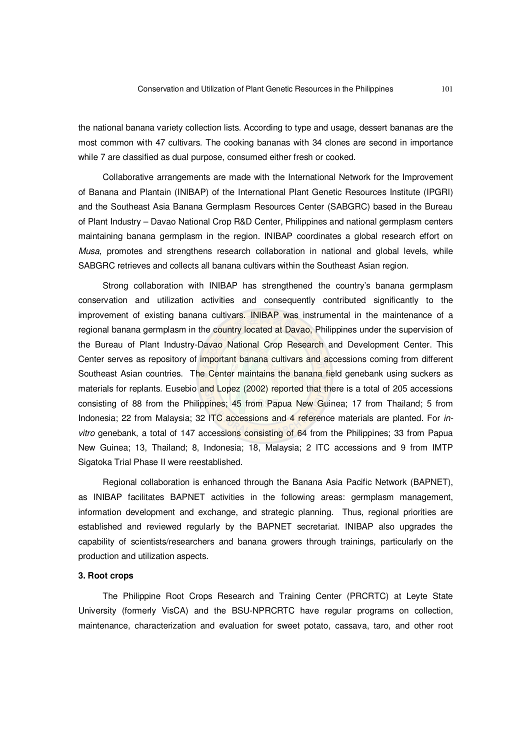the national banana variety collection lists. According to type and usage, dessert bananas are the most common with 47 cultivars. The cooking bananas with 34 clones are second in importance while 7 are classified as dual purpose, consumed either fresh or cooked.

Collaborative arrangements are made with the International Network for the Improvement of Banana and Plantain (INIBAP) of the International Plant Genetic Resources Institute (IPGRI) and the Southeast Asia Banana Germplasm Resources Center (SABGRC) based in the Bureau of Plant Industry – Davao National Crop R&D Center, Philippines and national germplasm centers maintaining banana germplasm in the region. INIBAP coordinates a global research effort on *Musa*, promotes and strengthens research collaboration in national and global levels, while SABGRC retrieves and collects all banana cultivars within the Southeast Asian region.

Strong collaboration with INIBAP has strengthened the country's banana germplasm conservation and utilization activities and consequently contributed significantly to the improvement of existing banana cultivars. INIBAP was instrumental in the maintenance of a regional banana germplasm in the country located at Davao, Philippines under the supervision of the Bureau of Plant Industry-Davao National Crop Research and Development Center. This Center serves as repository of important banana cultivars and accessions coming from different Southeast Asian countries. The Center maintains the banana field genebank using suckers as materials for replants. Eusebio and Lopez (2002) reported that there is a total of 205 accessions consisting of 88 from the Philippines; 45 from Papua New Guinea; 17 from Thailand; 5 from Indonesia; 22 from Malaysia; 32 ITC accessions and 4 reference materials are planted. For *invitro* genebank, a total of 147 accessions consisting of 64 from the Philippines; 33 from Papua New Guinea; 13, Thailand; 8, Indonesia; 18, Malaysia; 2 ITC accessions and 9 from IMTP Sigatoka Trial Phase II were reestablished.

Regional collaboration is enhanced through the Banana Asia Pacific Network (BAPNET), as INIBAP facilitates BAPNET activities in the following areas: germplasm management, information development and exchange, and strategic planning. Thus, regional priorities are established and reviewed regularly by the BAPNET secretariat. INIBAP also upgrades the capability of scientists/researchers and banana growers through trainings, particularly on the production and utilization aspects.

### **3. Root crops**

The Philippine Root Crops Research and Training Center (PRCRTC) at Leyte State University (formerly VisCA) and the BSU-NPRCRTC have regular programs on collection, maintenance, characterization and evaluation for sweet potato, cassava, taro, and other root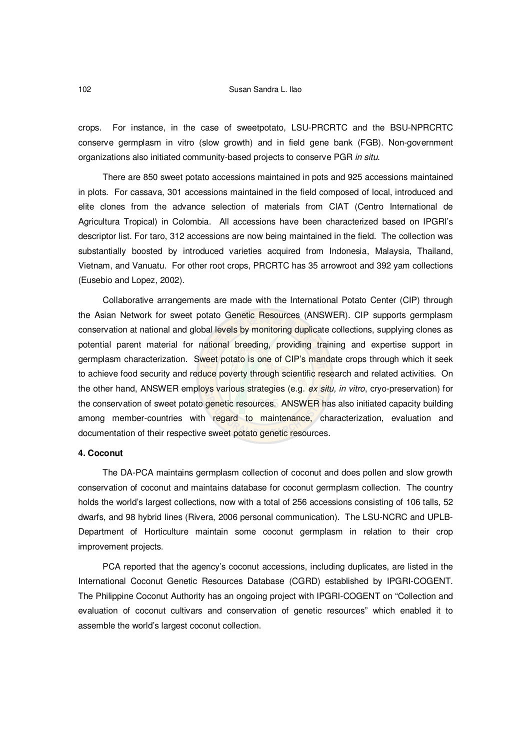crops. For instance, in the case of sweetpotato, LSU-PRCRTC and the BSU-NPRCRTC conserve germplasm in vitro (slow growth) and in field gene bank (FGB). Non-government organizations also initiated community-based projects to conserve PGR *in situ*.

There are 850 sweet potato accessions maintained in pots and 925 accessions maintained in plots. For cassava, 301 accessions maintained in the field composed of local, introduced and elite clones from the advance selection of materials from CIAT (Centro International de Agricultura Tropical) in Colombia. All accessions have been characterized based on IPGRI's descriptor list. For taro, 312 accessions are now being maintained in the field. The collection was substantially boosted by introduced varieties acquired from Indonesia, Malaysia, Thailand, Vietnam, and Vanuatu. For other root crops, PRCRTC has 35 arrowroot and 392 yam collections (Eusebio and Lopez, 2002).

Collaborative arrangements are made with the International Potato Center (CIP) through the Asian Network for sweet potato Genetic Resources (ANSWER). CIP supports germplasm conservation at national and global levels by monitoring duplicate collections, supplying clones as potential parent material for national breeding, providing training and expertise support in germplasm characterization. Sweet potato is one of CIP's mandate crops through which it seek to achieve food security and reduce poverty through scientific research and related activities. On the other hand, ANSWER employs various strategies (e.g. *ex situ, in vitro*, cryo-preservation) for the conservation of sweet potato genetic resources. ANSWER has also initiated capacity building among member-countries with regard to maintenance, characterization, evaluation and documentation of their respective sweet potato genetic resources.

#### **4. Coconut**

The DA-PCA maintains germplasm collection of coconut and does pollen and slow growth conservation of coconut and maintains database for coconut germplasm collection. The country holds the world's largest collections, now with a total of 256 accessions consisting of 106 talls, 52 dwarfs, and 98 hybrid lines (Rivera, 2006 personal communication). The LSU-NCRC and UPLB-Department of Horticulture maintain some coconut germplasm in relation to their crop improvement projects.

PCA reported that the agency's coconut accessions, including duplicates, are listed in the International Coconut Genetic Resources Database (CGRD) established by IPGRI-COGENT. The Philippine Coconut Authority has an ongoing project with IPGRI-COGENT on "Collection and evaluation of coconut cultivars and conservation of genetic resources" which enabled it to assemble the world's largest coconut collection.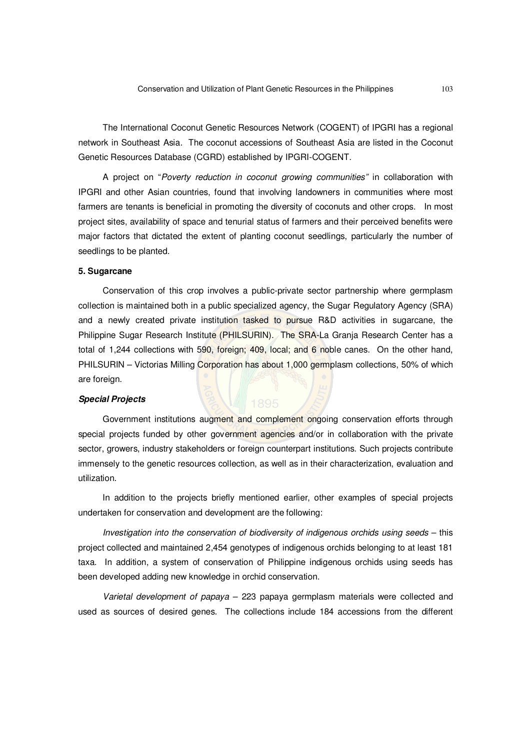The International Coconut Genetic Resources Network (COGENT) of IPGRI has a regional network in Southeast Asia. The coconut accessions of Southeast Asia are listed in the Coconut Genetic Resources Database (CGRD) established by IPGRI-COGENT.

A project on "*Poverty reduction in coconut growing communities"* in collaboration with IPGRI and other Asian countries, found that involving landowners in communities where most farmers are tenants is beneficial in promoting the diversity of coconuts and other crops. In most project sites, availability of space and tenurial status of farmers and their perceived benefits were major factors that dictated the extent of planting coconut seedlings, particularly the number of seedlings to be planted.

#### **5. Sugarcane**

Conservation of this crop involves a public-private sector partnership where germplasm collection is maintained both in a public specialized agency, the Sugar Regulatory Agency (SRA) and a newly created private institution tasked to pursue R&D activities in sugarcane, the Philippine Sugar Research Institute (PHILSURIN). The SRA-La Granja Research Center has a total of 1,244 collections with 590, foreign; 409, local; and 6 noble canes. On the other hand, PHILSURIN – Victorias Milling Corporation has about 1,000 germplasm collections, 50% of which are foreign.

#### *Special Projects*

# Government institutions augment and complement ongoing conservation efforts through special projects funded by other government agencies and/or in collaboration with the private sector, growers, industry stakeholders or foreign counterpart institutions. Such projects contribute immensely to the genetic resources collection, as well as in their characterization, evaluation and utilization.

In addition to the projects briefly mentioned earlier, other examples of special projects undertaken for conservation and development are the following:

*Investigation into the conservation of biodiversity of indigenous orchids using seeds* – this project collected and maintained 2,454 genotypes of indigenous orchids belonging to at least 181 taxa. In addition, a system of conservation of Philippine indigenous orchids using seeds has been developed adding new knowledge in orchid conservation.

*Varietal development of papaya* – 223 papaya germplasm materials were collected and used as sources of desired genes. The collections include 184 accessions from the different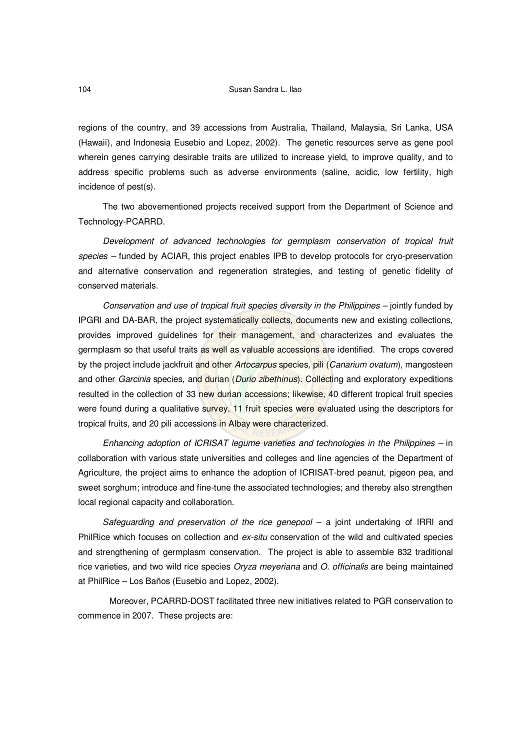regions of the country, and 39 accessions from Australia, Thailand, Malaysia, Sri Lanka, USA (Hawaii), and Indonesia Eusebio and Lopez, 2002). The genetic resources serve as gene pool wherein genes carrying desirable traits are utilized to increase yield, to improve quality, and to address specific problems such as adverse environments (saline, acidic, low fertility, high incidence of pest(s).

The two abovementioned projects received support from the Department of Science and Technology-PCARRD.

*Development of advanced technologies for germplasm conservation of tropical fruit species –* funded by ACIAR, this project enables IPB to develop protocols for cryo-preservation and alternative conservation and regeneration strategies, and testing of genetic fidelity of conserved materials.

*Conservation and use of tropical fruit species diversity in the Philippines –* jointly funded by IPGRI and DA-BAR, the project systematically collects, documents new and existing collections, provides improved guidelines for their management, and characterizes and evaluates the germplasm so that useful traits as well as valuable accessions are identified. The crops covered by the project include jackfruit and other *Artocarpus* species, pili (*Canarium ovatum*), mangosteen and other *Garcinia* species, and durian (*Durio zibethinus*). Collecting and exploratory expeditions resulted in the collection of 33 new durian accessions; likewise, 40 different tropical fruit species were found during a qualitative survey, 11 fruit species were evaluated using the descriptors for tropical fruits, and 20 pili accessions in Albay were characterized.

*Enhancing adoption of ICRISAT legume varieties and technologies in the Philippines –* in collaboration with various state universities and colleges and line agencies of the Department of Agriculture, the project aims to enhance the adoption of ICRISAT-bred peanut, pigeon pea, and sweet sorghum; introduce and fine-tune the associated technologies; and thereby also strengthen local regional capacity and collaboration.

*Safeguarding and preservation of the rice genepool* – a joint undertaking of IRRI and PhilRice which focuses on collection and *ex-situ* conservation of the wild and cultivated species and strengthening of germplasm conservation. The project is able to assemble 832 traditional rice varieties, and two wild rice species *Oryza meyeriana* and *O. officinalis* are being maintained at PhilRice – Los Baños (Eusebio and Lopez, 2002).

Moreover, PCARRD-DOST facilitated three new initiatives related to PGR conservation to commence in 2007. These projects are: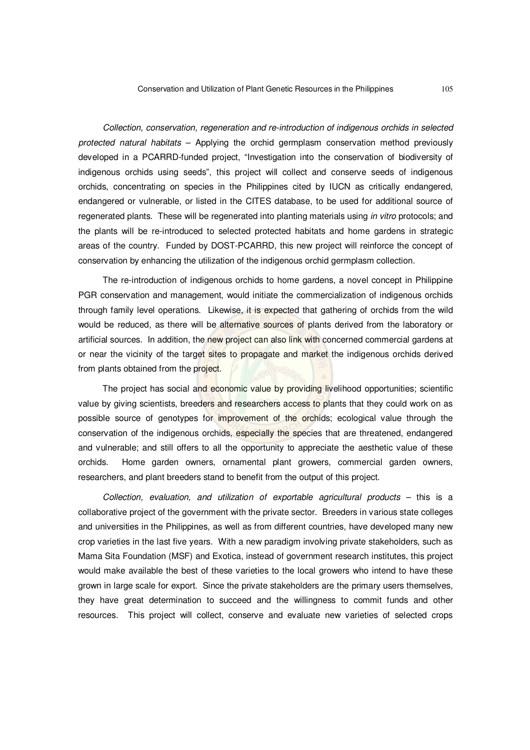*Collection, conservation, regeneration and re-introduction of indigenous orchids in selected protected natural habitats* – Applying the orchid germplasm conservation method previously developed in a PCARRD-funded project, "Investigation into the conservation of biodiversity of indigenous orchids using seeds", this project will collect and conserve seeds of indigenous orchids, concentrating on species in the Philippines cited by IUCN as critically endangered, endangered or vulnerable, or listed in the CITES database, to be used for additional source of regenerated plants. These will be regenerated into planting materials using *in vitro* protocols; and the plants will be re-introduced to selected protected habitats and home gardens in strategic areas of the country. Funded by DOST-PCARRD, this new project will reinforce the concept of conservation by enhancing the utilization of the indigenous orchid germplasm collection.

The re-introduction of indigenous orchids to home gardens, a novel concept in Philippine PGR conservation and management, would initiate the commercialization of indigenous orchids through family level operations. Likewise, it is expected that gathering of orchids from the wild would be reduced, as there will be alternative sources of plants derived from the laboratory or artificial sources. In addition, the new project can also link with concerned commercial gardens at or near the vicinity of the target sites to propagate and market the indigenous orchids derived from plants obtained from the project.

The project has social and economic value by providing livelihood opportunities; scientific value by giving scientists, breeders and researchers access to plants that they could work on as possible source of genotypes for improvement of the orchids; ecological value through the conservation of the indigenous orchids, especially the species that are threatened, endangered and vulnerable; and still offers to all the opportunity to appreciate the aesthetic value of these orchids. Home garden owners, ornamental plant growers, commercial garden owners, researchers, and plant breeders stand to benefit from the output of this project.

*Collection, evaluation, and utilization of exportable agricultural products* – this is a collaborative project of the government with the private sector. Breeders in various state colleges and universities in the Philippines, as well as from different countries, have developed many new crop varieties in the last five years. With a new paradigm involving private stakeholders, such as Mama Sita Foundation (MSF) and Exotica, instead of government research institutes, this project would make available the best of these varieties to the local growers who intend to have these grown in large scale for export. Since the private stakeholders are the primary users themselves, they have great determination to succeed and the willingness to commit funds and other resources. This project will collect, conserve and evaluate new varieties of selected crops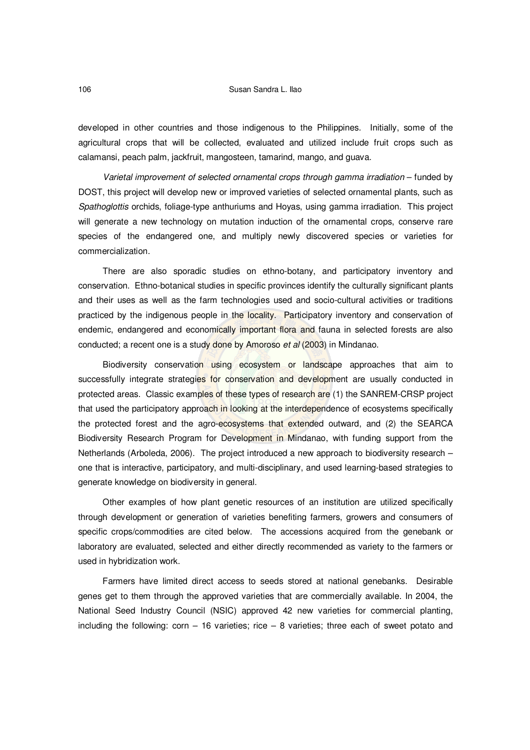#### 106 Susan Sandra L. Ilao

developed in other countries and those indigenous to the Philippines. Initially, some of the agricultural crops that will be collected, evaluated and utilized include fruit crops such as calamansi, peach palm, jackfruit, mangosteen, tamarind, mango, and guava.

*Varietal improvement of selected ornamental crops through gamma irradiation* – funded by DOST, this project will develop new or improved varieties of selected ornamental plants, such as *Spathoglottis* orchids, foliage-type anthuriums and Hoyas, using gamma irradiation. This project will generate a new technology on mutation induction of the ornamental crops, conserve rare species of the endangered one, and multiply newly discovered species or varieties for commercialization.

There are also sporadic studies on ethno-botany, and participatory inventory and conservation. Ethno-botanical studies in specific provinces identify the culturally significant plants and their uses as well as the farm technologies used and socio-cultural activities or traditions practiced by the indigenous people in the locality. Participatory inventory and conservation of endemic, endangered and economically important flora and fauna in selected forests are also conducted; a recent one is a study done by Amoroso *et al* (2003) in Mindanao.

Biodiversity conservation using ecosystem or landscape approaches that aim to successfully integrate strategies for conservation and development are usually conducted in protected areas. Classic examples of these types of research are (1) the SANREM-CRSP project that used the participatory approach in looking at the interdependence of ecosystems specifically the protected forest and the agro-ecosystems that extended outward, and (2) the SEARCA Biodiversity Research Program for Development in Mindanao, with funding support from the Netherlands (Arboleda, 2006). The project introduced a new approach to biodiversity research – one that is interactive, participatory, and multi-disciplinary, and used learning-based strategies to generate knowledge on biodiversity in general.

Other examples of how plant genetic resources of an institution are utilized specifically through development or generation of varieties benefiting farmers, growers and consumers of specific crops/commodities are cited below. The accessions acquired from the genebank or laboratory are evaluated, selected and either directly recommended as variety to the farmers or used in hybridization work.

Farmers have limited direct access to seeds stored at national genebanks. Desirable genes get to them through the approved varieties that are commercially available. In 2004, the National Seed Industry Council (NSIC) approved 42 new varieties for commercial planting, including the following: corn  $-16$  varieties; rice  $-8$  varieties; three each of sweet potato and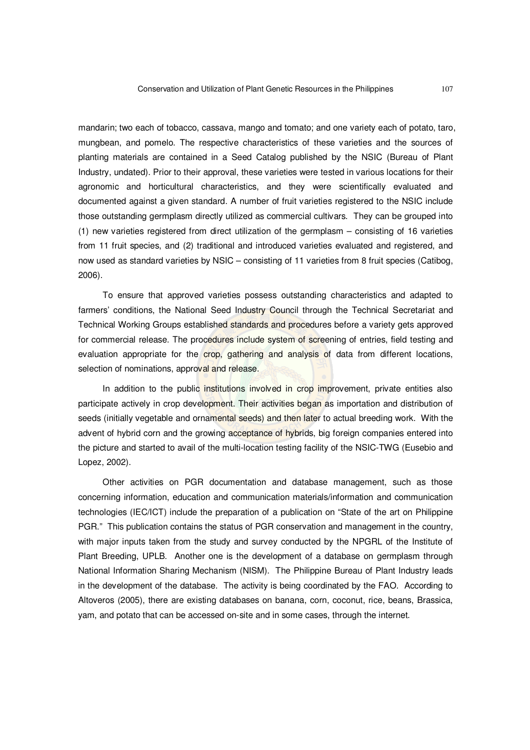mandarin; two each of tobacco, cassava, mango and tomato; and one variety each of potato, taro, mungbean, and pomelo. The respective characteristics of these varieties and the sources of planting materials are contained in a Seed Catalog published by the NSIC (Bureau of Plant Industry, undated). Prior to their approval, these varieties were tested in various locations for their agronomic and horticultural characteristics, and they were scientifically evaluated and documented against a given standard. A number of fruit varieties registered to the NSIC include those outstanding germplasm directly utilized as commercial cultivars. They can be grouped into (1) new varieties registered from direct utilization of the germplasm – consisting of 16 varieties from 11 fruit species, and (2) traditional and introduced varieties evaluated and registered, and now used as standard varieties by NSIC – consisting of 11 varieties from 8 fruit species (Catibog, 2006).

To ensure that approved varieties possess outstanding characteristics and adapted to farmers' conditions, the National Seed Industry Council through the Technical Secretariat and Technical Working Groups established standards and procedures before a variety gets approved for commercial release. The procedures include system of screening of entries, field testing and evaluation appropriate for the crop, gathering and analysis of data from different locations, selection of nominations, approval and release.

In addition to the public institutions involved in crop improvement, private entities also participate actively in crop development. Their activities began as importation and distribution of seeds (initially vegetable and ornamental seeds) and then later to actual breeding work. With the advent of hybrid corn and the growing acceptance of hybrids, big foreign companies entered into the picture and started to avail of the multi-location testing facility of the NSIC-TWG (Eusebio and Lopez, 2002).

Other activities on PGR documentation and database management, such as those concerning information, education and communication materials/information and communication technologies (IEC/ICT) include the preparation of a publication on "State of the art on Philippine PGR." This publication contains the status of PGR conservation and management in the country, with major inputs taken from the study and survey conducted by the NPGRL of the Institute of Plant Breeding, UPLB. Another one is the development of a database on germplasm through National Information Sharing Mechanism (NISM). The Philippine Bureau of Plant Industry leads in the development of the database. The activity is being coordinated by the FAO. According to Altoveros (2005), there are existing databases on banana, corn, coconut, rice, beans, Brassica, yam, and potato that can be accessed on-site and in some cases, through the internet.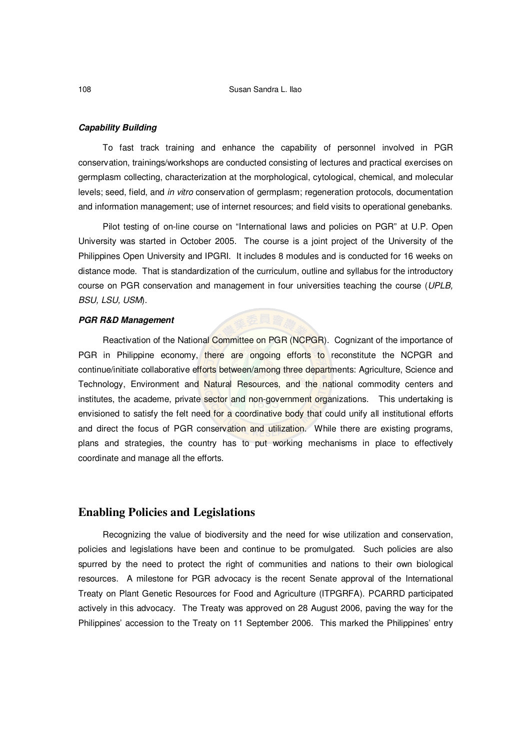#### *Capability Building*

To fast track training and enhance the capability of personnel involved in PGR conservation, trainings/workshops are conducted consisting of lectures and practical exercises on germplasm collecting, characterization at the morphological, cytological, chemical, and molecular levels; seed, field, and *in vitro* conservation of germplasm; regeneration protocols, documentation and information management; use of internet resources; and field visits to operational genebanks.

Pilot testing of on-line course on "International laws and policies on PGR" at U.P. Open University was started in October 2005. The course is a joint project of the University of the Philippines Open University and IPGRI. It includes 8 modules and is conducted for 16 weeks on distance mode. That is standardization of the curriculum, outline and syllabus for the introductory course on PGR conservation and management in four universities teaching the course (*UPLB, BSU, LSU, USM*).

#### *PGR R&D Management*

Reactivation of the National Committee on PGR (NCPGR). Cognizant of the importance of PGR in Philippine economy, there are ongoing efforts to reconstitute the NCPGR and continue/initiate collaborative efforts between/among three departments: Agriculture, Science and Technology, Environment and Natural Resources, and the national commodity centers and institutes, the academe, private sector and non-government organizations. This undertaking is envisioned to satisfy the felt need for a coordinative body that could unify all institutional efforts and direct the focus of PGR conservation and utilization. While there are existing programs, plans and strategies, the country has to put working mechanisms in place to effectively coordinate and manage all the efforts.

# **Enabling Policies and Legislations**

Recognizing the value of biodiversity and the need for wise utilization and conservation, policies and legislations have been and continue to be promulgated. Such policies are also spurred by the need to protect the right of communities and nations to their own biological resources. A milestone for PGR advocacy is the recent Senate approval of the International Treaty on Plant Genetic Resources for Food and Agriculture (ITPGRFA). PCARRD participated actively in this advocacy. The Treaty was approved on 28 August 2006, paving the way for the Philippines' accession to the Treaty on 11 September 2006. This marked the Philippines' entry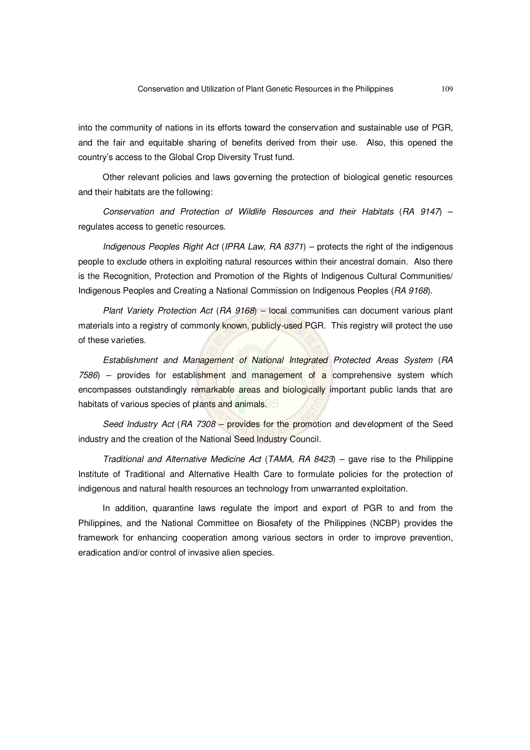into the community of nations in its efforts toward the conservation and sustainable use of PGR, and the fair and equitable sharing of benefits derived from their use. Also, this opened the country's access to the Global Crop Diversity Trust fund.

Other relevant policies and laws governing the protection of biological genetic resources and their habitats are the following:

*Conservation and Protection of Wildlife Resources and their Habitats* (*RA 9147*) – regulates access to genetic resources.

*Indigenous Peoples Right Act* (*IPRA Law, RA 8371*) – protects the right of the indigenous people to exclude others in exploiting natural resources within their ancestral domain. Also there is the Recognition, Protection and Promotion of the Rights of Indigenous Cultural Communities/ Indigenous Peoples and Creating a National Commission on Indigenous Peoples (*RA 9168*).

*Plant Variety Protection Act* (*RA 9168*) – local communities can document various plant materials into a registry of commonly known, publicly-used PGR. This registry will protect the use of these varieties.

*Establishment and Management of National Integrated Protected Areas System* (*RA 7586*) – provides for establishment and management of a comprehensive system which encompasses outstandingly remarkable areas and biologically important public lands that are habitats of various species of plants and animals.

*Seed Industry Act* (*RA 7308* – provides for the promotion and development of the Seed industry and the creation of the National Seed Industry Council.

*Traditional and Alternative Medicine Act* (*TAMA, RA 8423*) – gave rise to the Philippine Institute of Traditional and Alternative Health Care to formulate policies for the protection of indigenous and natural health resources an technology from unwarranted exploitation.

In addition, quarantine laws regulate the import and export of PGR to and from the Philippines, and the National Committee on Biosafety of the Philippines (NCBP) provides the framework for enhancing cooperation among various sectors in order to improve prevention, eradication and/or control of invasive alien species.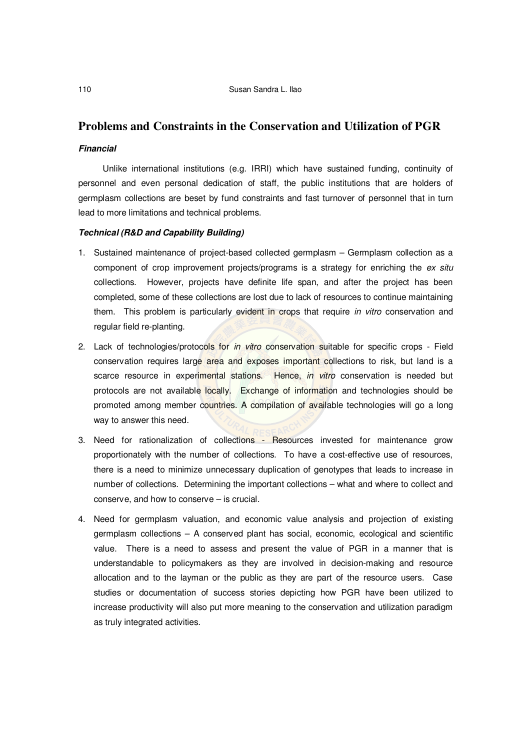# **Problems and Constraints in the Conservation and Utilization of PGR**

#### *Financial*

Unlike international institutions (e.g. IRRI) which have sustained funding, continuity of personnel and even personal dedication of staff, the public institutions that are holders of germplasm collections are beset by fund constraints and fast turnover of personnel that in turn lead to more limitations and technical problems.

#### *Technical (R&D and Capability Building)*

- 1. Sustained maintenance of project-based collected germplasm Germplasm collection as a component of crop improvement projects/programs is a strategy for enriching the *ex situ* collections. However, projects have definite life span, and after the project has been completed, some of these collections are lost due to lack of resources to continue maintaining them. This problem is particularly evident in crops that require *in vitro* conservation and regular field re-planting.
- 2. Lack of technologies/protocols for *in vitro* conservation suitable for specific crops Field conservation requires large area and exposes important collections to risk, but land is a scarce resource in experimental stations. Hence, *in vitro* conservation is needed but protocols are not available locally. Exchange of information and technologies should be promoted among member countries. A compilation of available technologies will go a long way to answer this need.
- 3. Need for rationalization of collections Resources invested for maintenance grow proportionately with the number of collections. To have a cost-effective use of resources, there is a need to minimize unnecessary duplication of genotypes that leads to increase in number of collections. Determining the important collections – what and where to collect and conserve, and how to conserve – is crucial.
- 4. Need for germplasm valuation, and economic value analysis and projection of existing germplasm collections – A conserved plant has social, economic, ecological and scientific value. There is a need to assess and present the value of PGR in a manner that is understandable to policymakers as they are involved in decision-making and resource allocation and to the layman or the public as they are part of the resource users. Case studies or documentation of success stories depicting how PGR have been utilized to increase productivity will also put more meaning to the conservation and utilization paradigm as truly integrated activities.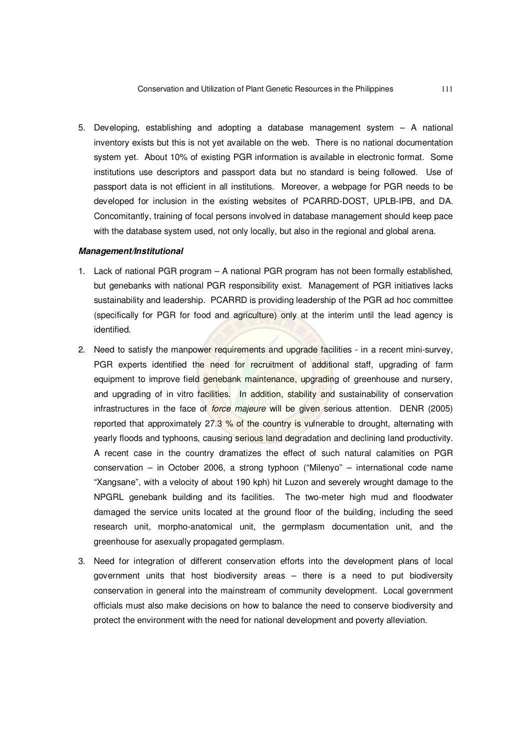5. Developing, establishing and adopting a database management system – A national inventory exists but this is not yet available on the web. There is no national documentation system yet. About 10% of existing PGR information is available in electronic format. Some institutions use descriptors and passport data but no standard is being followed. Use of passport data is not efficient in all institutions. Moreover, a webpage for PGR needs to be developed for inclusion in the existing websites of PCARRD-DOST, UPLB-IPB, and DA. Concomitantly, training of focal persons involved in database management should keep pace with the database system used, not only locally, but also in the regional and global arena.

### *Management/Institutional*

- 1. Lack of national PGR program A national PGR program has not been formally established, but genebanks with national PGR responsibility exist. Management of PGR initiatives lacks sustainability and leadership. PCARRD is providing leadership of the PGR ad hoc committee (specifically for PGR for food and agriculture) only at the interim until the lead agency is identified.
- 2. Need to satisfy the manpower requirements and upgrade facilities in a recent mini-survey, PGR experts identified the need for recruitment of additional staff, upgrading of farm equipment to improve field genebank maintenance, upgrading of greenhouse and nursery, and upgrading of in vitro facilities. In addition, stability and sustainability of conservation infrastructures in the face of *force majeure* will be given serious attention. DENR (2005) reported that approximately 27.3 % of the country is vulnerable to drought, alternating with yearly floods and typhoons, causing serious land degradation and declining land productivity. A recent case in the country dramatizes the effect of such natural calamities on PGR conservation – in October 2006, a strong typhoon ("Milenyo" – international code name "Xangsane", with a velocity of about 190 kph) hit Luzon and severely wrought damage to the NPGRL genebank building and its facilities. The two-meter high mud and floodwater damaged the service units located at the ground floor of the building, including the seed research unit, morpho-anatomical unit, the germplasm documentation unit, and the greenhouse for asexually propagated germplasm.
- 3. Need for integration of different conservation efforts into the development plans of local government units that host biodiversity areas – there is a need to put biodiversity conservation in general into the mainstream of community development. Local government officials must also make decisions on how to balance the need to conserve biodiversity and protect the environment with the need for national development and poverty alleviation.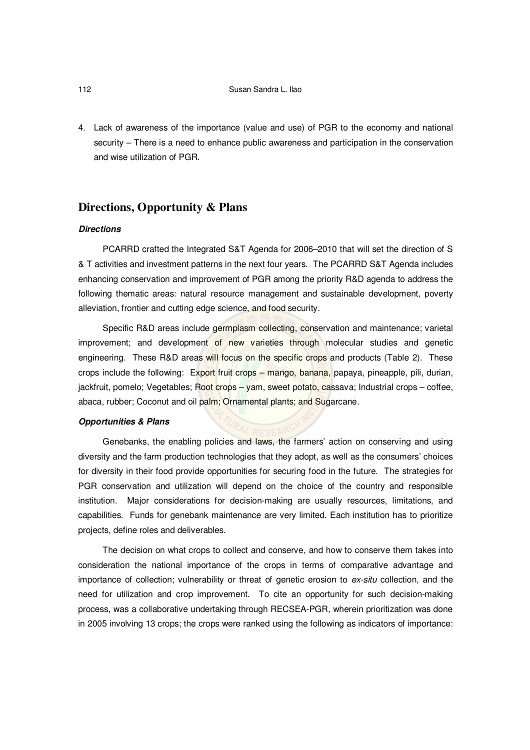4. Lack of awareness of the importance (value and use) of PGR to the economy and national security – There is a need to enhance public awareness and participation in the conservation and wise utilization of PGR.

# **Directions, Opportunity & Plans**

# *Directions*

PCARRD crafted the Integrated S&T Agenda for 2006–2010 that will set the direction of S & T activities and investment patterns in the next four years. The PCARRD S&T Agenda includes enhancing conservation and improvement of PGR among the priority R&D agenda to address the following thematic areas: natural resource management and sustainable development, poverty alleviation, frontier and cutting edge science, and food security.

Specific R&D areas include germplasm collecting, conservation and maintenance; varietal improvement; and development of new varieties through molecular studies and genetic engineering. These R&D areas will focus on the specific crops and products (Table 2). These crops include the following: Export fruit crops – mango, banana, papaya, pineapple, pili, durian, jackfruit, pomelo; Vegetables; Root crops – yam, sweet potato, cassava; Industrial crops – coffee, abaca, rubber; Coconut and oil palm; Ornamental plants; and Sugarcane.

#### *Opportunities & Plans*

Genebanks, the enabling policies and laws, the farmers' action on conserving and using diversity and the farm production technologies that they adopt, as well as the consumers' choices for diversity in their food provide opportunities for securing food in the future. The strategies for PGR conservation and utilization will depend on the choice of the country and responsible institution. Major considerations for decision-making are usually resources, limitations, and capabilities. Funds for genebank maintenance are very limited. Each institution has to prioritize projects, define roles and deliverables.

The decision on what crops to collect and conserve, and how to conserve them takes into consideration the national importance of the crops in terms of comparative advantage and importance of collection; vulnerability or threat of genetic erosion to *ex-situ* collection, and the need for utilization and crop improvement. To cite an opportunity for such decision-making process, was a collaborative undertaking through RECSEA-PGR, wherein prioritization was done in 2005 involving 13 crops; the crops were ranked using the following as indicators of importance: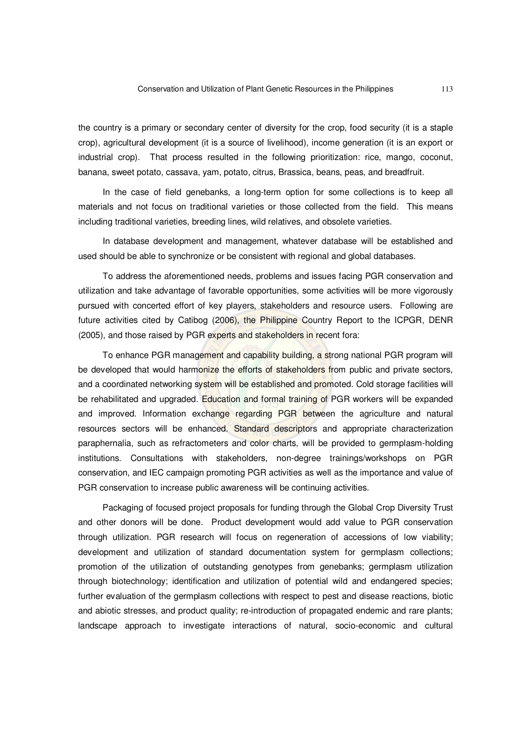the country is a primary or secondary center of diversity for the crop, food security (it is a staple crop), agricultural development (it is a source of livelihood), income generation (it is an export or industrial crop). That process resulted in the following prioritization: rice, mango, coconut, banana, sweet potato, cassava, yam, potato, citrus, Brassica, beans, peas, and breadfruit.

In the case of field genebanks, a long-term option for some collections is to keep all materials and not focus on traditional varieties or those collected from the field. This means including traditional varieties, breeding lines, wild relatives, and obsolete varieties.

In database development and management, whatever database will be established and used should be able to synchronize or be consistent with regional and global databases.

To address the aforementioned needs, problems and issues facing PGR conservation and utilization and take advantage of favorable opportunities, some activities will be more vigorously pursued with concerted effort of key players, stakeholders and resource users. Following are future activities cited by Catibog (2006), the Philippine Country Report to the ICPGR, DENR (2005), and those raised by PGR experts and stakeholders in recent fora:

To enhance PGR management and capability building, a strong national PGR program will be developed that would harmonize the efforts of stakeholders from public and private sectors, and a coordinated networking system will be established and promoted. Cold storage facilities will be rehabilitated and upgraded. Education and formal training of PGR workers will be expanded and improved. Information exchange regarding PGR between the agriculture and natural resources sectors will be enhanced. Standard descriptors and appropriate characterization paraphernalia, such as refractometers and color charts, will be provided to germplasm-holding institutions. Consultations with stakeholders, non-degree trainings/workshops on PGR conservation, and IEC campaign promoting PGR activities as well as the importance and value of PGR conservation to increase public awareness will be continuing activities.

Packaging of focused project proposals for funding through the Global Crop Diversity Trust and other donors will be done. Product development would add value to PGR conservation through utilization. PGR research will focus on regeneration of accessions of low viability; development and utilization of standard documentation system for germplasm collections; promotion of the utilization of outstanding genotypes from genebanks; germplasm utilization through biotechnology; identification and utilization of potential wild and endangered species; further evaluation of the germplasm collections with respect to pest and disease reactions, biotic and abiotic stresses, and product quality; re-introduction of propagated endemic and rare plants; landscape approach to investigate interactions of natural, socio-economic and cultural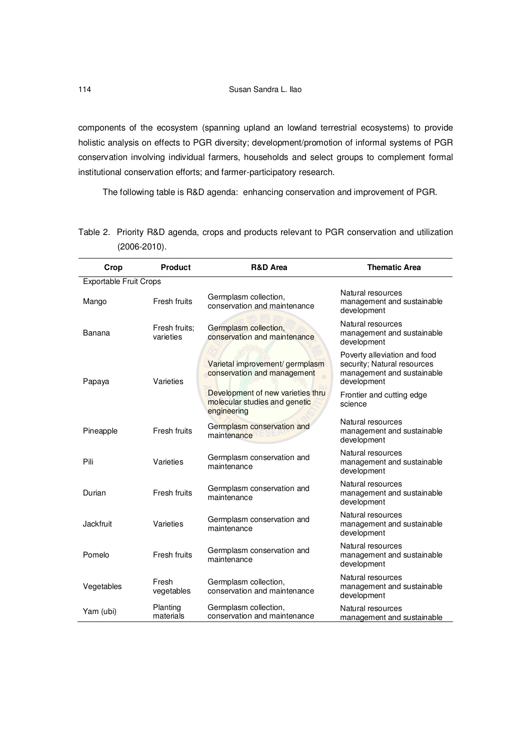components of the ecosystem (spanning upland an lowland terrestrial ecosystems) to provide holistic analysis on effects to PGR diversity; development/promotion of informal systems of PGR conservation involving individual farmers, households and select groups to complement formal institutional conservation efforts; and farmer-participatory research.

The following table is R&D agenda: enhancing conservation and improvement of PGR.

| Crop                          | <b>Product</b>             | <b>R&amp;D Area</b>                                                               | <b>Thematic Area</b>                                                                                     |  |  |
|-------------------------------|----------------------------|-----------------------------------------------------------------------------------|----------------------------------------------------------------------------------------------------------|--|--|
| <b>Exportable Fruit Crops</b> |                            |                                                                                   |                                                                                                          |  |  |
| Mango                         | Fresh fruits               | Germplasm collection,<br>conservation and maintenance                             | Natural resources<br>management and sustainable<br>development                                           |  |  |
| Banana                        | Fresh fruits:<br>varieties | Germplasm collection,<br>conservation and maintenance                             | Natural resources<br>management and sustainable<br>development                                           |  |  |
| Papaya                        | Varieties                  | Varietal improvement/ germplasm<br>conservation and management                    | Poverty alleviation and food<br>security; Natural resources<br>management and sustainable<br>development |  |  |
|                               |                            | Development of new varieties thru<br>molecular studies and genetic<br>engineering | Frontier and cutting edge<br>science                                                                     |  |  |
| Pineapple                     | Fresh fruits               | Germplasm conservation and<br>maintenance                                         | Natural resources<br>management and sustainable<br>development                                           |  |  |
| Pili                          | Varieties                  | Germplasm conservation and<br>maintenance                                         | Natural resources<br>management and sustainable<br>development                                           |  |  |
| Durian                        | Fresh fruits               | Germplasm conservation and<br>maintenance                                         | Natural resources<br>management and sustainable<br>development                                           |  |  |
| Jackfruit                     | Varieties                  | Germplasm conservation and<br>maintenance                                         | Natural resources<br>management and sustainable<br>development                                           |  |  |
| Pomelo                        | Fresh fruits               | Germplasm conservation and<br>maintenance                                         | Natural resources<br>management and sustainable<br>development                                           |  |  |
| Vegetables                    | Fresh<br>vegetables        | Germplasm collection,<br>conservation and maintenance                             | Natural resources<br>management and sustainable<br>development                                           |  |  |
| Yam (ubi)                     | Planting<br>materials      | Germplasm collection,<br>conservation and maintenance                             | Natural resources<br>management and sustainable                                                          |  |  |

Table 2. Priority R&D agenda, crops and products relevant to PGR conservation and utilization (2006-2010).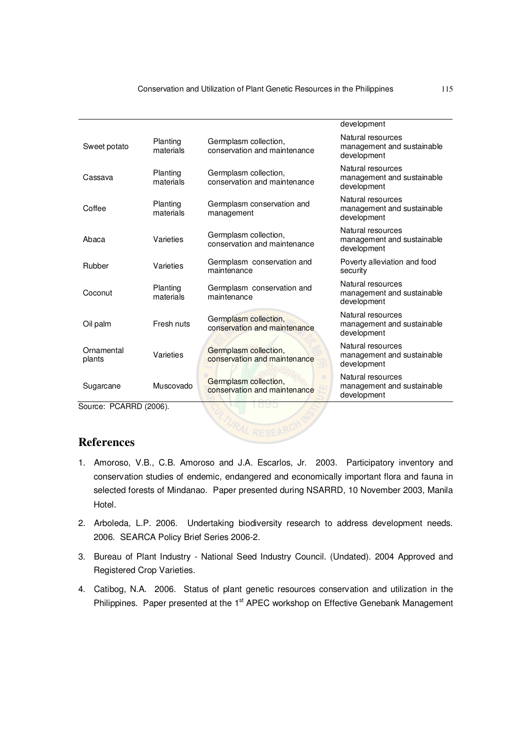|                      |                       |                                                            | development                                                    |
|----------------------|-----------------------|------------------------------------------------------------|----------------------------------------------------------------|
| Sweet potato         | Planting<br>materials | Germplasm collection,<br>conservation and maintenance      | Natural resources<br>management and sustainable<br>development |
| Cassava              | Planting<br>materials | Germplasm collection,<br>conservation and maintenance      | Natural resources<br>management and sustainable<br>development |
| Coffee               | Planting<br>materials | Germplasm conservation and<br>management                   | Natural resources<br>management and sustainable<br>development |
| Abaca                | Varieties             | Germplasm collection,<br>conservation and maintenance      | Natural resources<br>management and sustainable<br>development |
| Rubber               | Varieties             | Germplasm conservation and<br>maintenance                  | Poverty alleviation and food<br>security                       |
| Coconut              | Planting<br>materials | Germplasm conservation and<br>maintenance                  | Natural resources<br>management and sustainable<br>development |
| Oil palm             | Fresh nuts            | Germplasm collection,<br>conservation and maintenance      | Natural resources<br>management and sustainable<br>development |
| Ornamental<br>plants | Varieties             | Germplasm collection,<br>conservation and maintenance      | Natural resources<br>management and sustainable<br>development |
| Sugarcane            | Muscovado             | O<br>Germplasm collection,<br>conservation and maintenance | Natural resources<br>management and sustainable<br>development |

Source: PCARRD (2006).

# **References**

- 1. Amoroso, V.B., C.B. Amoroso and J.A. Escarlos, Jr. 2003. Participatory inventory and conservation studies of endemic, endangered and economically important flora and fauna in selected forests of Mindanao. Paper presented during NSARRD, 10 November 2003, Manila Hotel.
- 2. Arboleda, L.P. 2006. Undertaking biodiversity research to address development needs. 2006. SEARCA Policy Brief Series 2006-2.
- 3. Bureau of Plant Industry National Seed Industry Council. (Undated). 2004 Approved and Registered Crop Varieties.
- 4. Catibog, N.A. 2006. Status of plant genetic resources conservation and utilization in the Philippines. Paper presented at the 1<sup>st</sup> APEC workshop on Effective Genebank Management